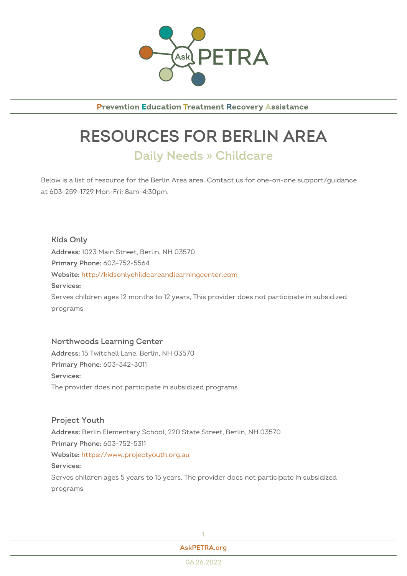

**Prevention Education Treatment Recovery Assistance** 

## RESOURCES FOR BERLIN A Daily Needs » Childcare

Below is a list of resource for the Berlin Area area. Contact us for one-onat 603-259-1729 Mon-Fri: 8am-4:30pm.

Kids Only Addres\$023 Main Street, Berlin, NH 03570  $Primary Ph@P8: 752-5564$ Websithet: tp://kidsonlychildcareandlearningcenter.com Services: Serves children ages 12 months to 12 years, This provider does not part programs

Northwoods Learning Center Addres\$5 Twitchell Lane, Berlin, NH 03570 Primary Phono8: 342-3011 Services: The provider does not participate in subsidized programs

Project Youth AddresBerlin Elementary School, 220 State Street, Berlin, NH 03570 Primary Phono8: 752-5311 Websithet: tps://www.projectyouth.org.au Services: Serves children ages 5 years to 15 years, The provider does not particip programs



[AskPETRA](https://askpetra.org).org